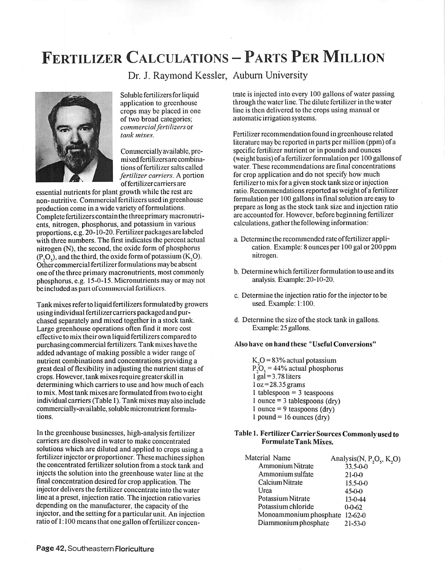# FERTILIZER CALCULATIONS - PARTS PER MILLION

Dr. J. Raymond Kessler, Auburn University



Soluble fertilizers for liquid application to greenhouse crops may be placed in one of two broad categories; **commercialfertilizers** or **tank mixes.**

Commerciallyavailable, premixed fertilizers are combinations offertilizer salts called **fertilizer carriers.** A portion offertilizer carriers are

essential nutrients for plant growth while the rest are non- nutritive. Commercial fertilizers used in greenhouse production come in a wide variety of formulations. Complete fertilizers containthethreeprimary macronutricnts, nitrogen, phosphorus, and potassium in various proportions, e.g. 20-10-20. Fertilizer packages are labeled with three numbers. The first indicates the percent actual nitrogen (N), the second, the oxide form of phosphorus  $(P, O)$ , and the third, the oxide form of potassium  $(K, O)$ . Other commercial fertilizer formulations maybe absent one of the three primary macronutrients, most commonly phosphorus, e.g. 15-0-15. Micronutrients may or may not be included as part of commercial fertilizers.

Tank mixes refer to liquid fertilizers formulated bygrowers using individual fertilizer carriers packaged and pur chased separately and mixed together in a stock tank. Large greenhouse operations often find it more cost effective to mix their own liquid fertilizers compared to purchasing commercial fertilizers. Tank mixes have the added advantage of making possible a wider range of nutrient combinations and concentrations providing *a* great deal offlexibility in adjusting the nutrient status of crops. However, tank mixes require greaterskill in determining which carriers to use and how much of each to mix. Most tank mixes are formulated from two to eight individual carriers (Table 1). Tank mixes may also include commercially-available, soluble micronutrient formulations.

In the greenhouse businesses, high-analysis fertilizer carriers are dissolved in water to make concentrated solutions which are diluted and applied to crops using a fertilizer injector or proportioner. These machines siphon the concentrated fertilizer solution from a stock tank and injects the solution into the greenhouse water line at the final concentration desired for crop application. The injector delivers the fertilizer concentrate into the water line at a preset, injection ratio. The injection ratio varies depending on the manufacturer, the capacityof the injector, and the setting for a particular unit. An injection ratio of 1:100 means that one gallon of fertilizer concen

trate is injected into every 100 gallons of water passing through the water line. The dilute fertilizer in the water line is then delivered to the crops using manual or automatic irrigation systems.

Fertilizer recommendation found in greenhouse related literature maybe reported in parts per million (ppm) of a specific fertilizer nutrient or in pounds and ounces (weight basis) of a fertilizer formulation per 100 gallons of water. These recommendations are final concentrations for crop application and do not specify how much fertilizer to mix for a given stock tank size or injection ratio. Recommendations reported as weight of a fertilizer formulation per 100 gallons in final solution arc easy to prepare as long as the stock tank size and injection ratio are accounted for. However, before beginning fertilizer calculations, gather the following information:

- a. Determine the recommended rate offertilizer appli cation. Example: 8 ounces per 100 gal or 200 ppm nitrogen.
- b. Determine which fertilizer formulation to use and its analysis. Example: 20-10-20.
- c. Determine the injection ratio for the injector to be used. Example: 1:100.
- d. Determine the size of the stock tank in gallons. Example: 25 gallons.

#### *Also have on hand these "Useful Conversions"*

 $K<sub>2</sub>O = 83%$  actual potassium  $P_2O_5 = 44\%$  actual phosphorus  $l$  gal = 3.78 liters  $\log$  = 28.35 grams 1 tablespoon = 3 teaspoons  $1$  ounce = 3 tablespoons (dry) 1 ounce = 9 teaspoons  $\text{(dy)}$  $1$  pound = 16 ounces (dry)

#### *Table 1. Fertilizer Carrier Sources Commonly used to FormulateTank Mixes.*

| Material Name          | Analysis(N, P <sub>2</sub> O <sub>3</sub> , K <sub>2</sub> O) |
|------------------------|---------------------------------------------------------------|
| Ammonium Nitrate       | 33.5-0-0                                                      |
| Ammonium sulfate       | $21-0-0$                                                      |
| Calcium Nitrate        | $15.5 - 0 - 0$                                                |
| Urea                   | $45-0-0$                                                      |
| Potassium Nitrate      | $13 - 0 - 44$                                                 |
| Potassium chloride     | $0 - 0 - 62$                                                  |
| Monoammonium phosphate | $12 - 62 - 0$                                                 |
| Diammonium phosphate   | $21 - 53 - 0$                                                 |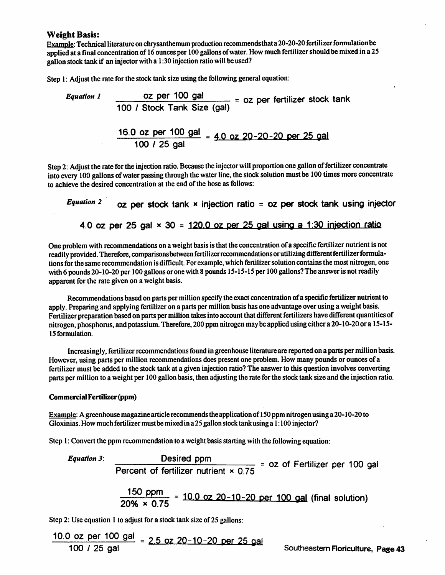## *Weight Basis:*

Example: Technical literature on chrysanthemum production recommendsthat a 20-20-20 fertilizer formulation be applied at a final concentration of 16 ounces per 100 gallons of water. How much fertilizer should be mixed in a 25 gallon stock tank if an injector with a  $1:30$  injection ratio will be used?

Step 1: Adjust the rate for the stock tank size using the following general equation:

**Equation 1** 22 per 100 gal = 02 per fertilizer stock tank 100 / Stock Tank Size (gal)

$$
\frac{16.0 \text{ oz per } 100 \text{ gal}}{100 / 25 \text{ gal}} = \frac{4.0 \text{ oz } 20 - 20 - 20 \text{ per } 25 \text{ gal}}{100 / 25 \text{ gal}}
$$

Step 2: Adjust the rate for the injection ratio. Because the injector will proportion one gallon of fertilizer concentrate into every 100 gallons of water passing through the water line, the stock solution must be 100 times more concentrate to achieve the desired concentration at the end of the hose as follows:

Equation 2  $\qquad$  oz per stock tank x injection ratio = oz per stock tank using injector 4.0 oz per 25 gal  $\times$  30 = 120.0 oz per 25 gal using a 1:30 injection ratio

One problem with recommendations on a weight basis is that the concentration of a specific fertilizer nutrient is not readily provided. Therefore, comparisons between fertilizer recommendations or utilizing different fertilizer formulations for the same recommendation is difficult. For example, which fertilizer solution contains the most nitrogen, one with 6 pounds 20-10-20 per 100 gallons or one with 8 pounds 15-15-15 per 100 gallons? The answer is not readily apparent for the rate given on a weight basis.

Recommendations based on parts per million specify the exact concentration of a specific fertilizer nutrient to apply. Preparing and applying fertilizer on a parts per million basis has one advantage over using a weight basis. Fertilizer preparation based on parts per million takes into account that different fertilizers have different quantities of nitrogen, phosphorus, and potassium. Therefore, 200 ppm nitrogen may be applied using either a 20-10-20 or a 15-15-15 formulation.

Increasingly, fertilizer recommendations found in greenhouse literature are reported on a parts per million basis. However, using parts per million recommendations does present one problem. How many pounds or ounces of a fertilizer must be added to the stock tank at a given injection ratio? The answer to this question involves converting parts per million to a weight per 100 gallon basis, then adjusting the rate for the stock tank size and the injection ratio.

### CommercialFertilizer*(ppm)*

Example: A greenhouse magazine article recommends the application of 150 ppm nitrogen using a 20-10-20 to Gloxinias. How much fertilizer must be mixed in a 25 gallon stock tank using a 1:100 injector?

Step 1: Convert the ppm recommendation to a weight basis starting with the following equation:

Equation 3: **Desired ppm**<br>
Percent of fertilizer nutrient × 0.75 = 0z of Fertilizer per 100 gal

$$
\frac{150 \text{ ppm}}{20\% \times 0.75} = 10.0 \text{ oz } 20 - 10 - 20 \text{ per } 100 \text{ gal (final solution)}
$$

Step 2: Use equation 1 to adjust for a stock tank size of 25 gallons:

 $\lambda = -$ 

$$
\frac{10.0 \text{ oz per } 100 \text{ gal}}{100 / 25 \text{ gal}} = 2.5 \text{ oz } 20 - 10 - 20 \text{ per } 25 \text{ gal}
$$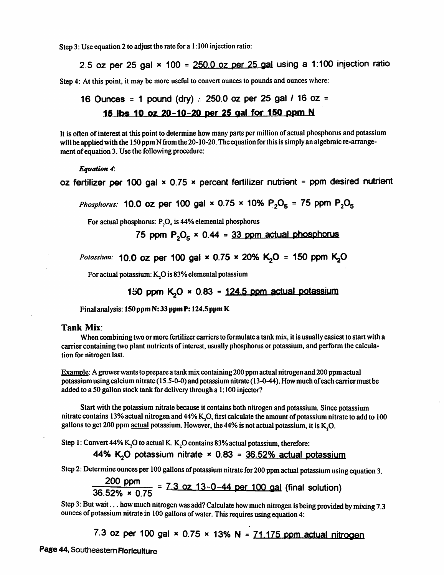Step 3: Use equation 2 to adjust the rate for a 1:100 injection ratio:

*2.5 oz per 25 gal \* 100 = 250.0 oz per 25 gal using a 1:100 injection ratio*

Step 4: At this point, it may be more useful to convert ounces to pounds and ounces where:

16 Ounces = 1 pound (dry) 
$$
\therefore
$$
 250.0 oz per 25 gal / 16 oz = 15 lbs 10 oz 20-10-20 per 25 gal for 150 ppm N

It is often of interest at this point to determine how many parts per million of actual phosphorus and potassium will be applied with the 150 ppm N from the 20-10-20. The equation for this is simply an algebraic re-arrangement of equation 3. Use the following procedure:

**Equation 4:**

oz fertilizer *per* 100 gal x 0.75 x percent fertilizer nutrient = ppm desired nutrient

*Phosphorus:* **10.0 oz per 100 gal × 0.75 × 10%**  $P_2O_5$  **= 75 ppm**  $P_2O_5$ 

For actual phosphorus:  $P_2O_6$  is 44% elemental phosphorus

75 ppm  $P_2O_5 \times 0.44 = 33$  ppm actual phosphorus

**Potassium:** *10.O* oz *per 100 gal x 0.75 x 20% KjO* = *150 ppm Kfi*

For actual potassium: K<sub>2</sub>O is 83% elemental potassium

*150 ppm rCp x 0.83* = *124 5 ppm actual potassium*

Final analysis: *150 ppm N: 33 ppm P: 124.5 ppm K*

## *Tank Mix:*

When combining two or more fertilizer carriers to formulate a tank mix, it is usually easiest to start with a carrier containing two plant nutrients of interest, usuallyphosphorus or potassium, and perform the calcula tion for nitrogen last.

Example: A grower wants to prepare a tank mix containing 200 ppm actual nitrogen and 200 ppm actual potassiumusingcalcium mtrate (15.5-0-0) and potassium nitrate (13-0-44). Howmuch ofeach carriermust be added to a 50 gallon stock tank for delivery through a 1:100 injector?

Start with the potassium nitrate because it contains both nitrogen and potassium. Since potassium nitrate contains 13% actual nitrogen and 44% K<sub>7</sub>O, first calculate the amount of potassium nitrate to add to 100 gallons to get 200 ppm actual potassium. However, the 44% is not actual potassium, it is K<sub>2</sub>O.

Step 1: Convert 44% K<sub>,</sub>O to actual K. K<sub>,</sub>O contains 83% actual potassium, therefore:

*44%* KjO potassium nitrate x 0.83 = 36.52% actual potassium

Step 2: Determine ounces per 100 gallons of potassium nitrate for 200 ppm actual potassium using equation 3.

$$
\frac{200 \text{ ppm}}{36.52\% \times 0.75} = 7.3 \text{ oz } 13 - 0 - 44 \text{ per } 100 \text{ gal (final solution)}
$$

Step 3: But wait... how much nitrogen was add? Calculate how much nitrogen is being provided by mixing 7.3 ounces of potassium nitrate in 100 gallons of water. This requires using equation 4:

7.3 oz per 100 gal  $\times$  0.75  $\times$  13% N = 71,175 ppm actual nitrogen

Page 44, Southeastern Floriculture

 $\sim$